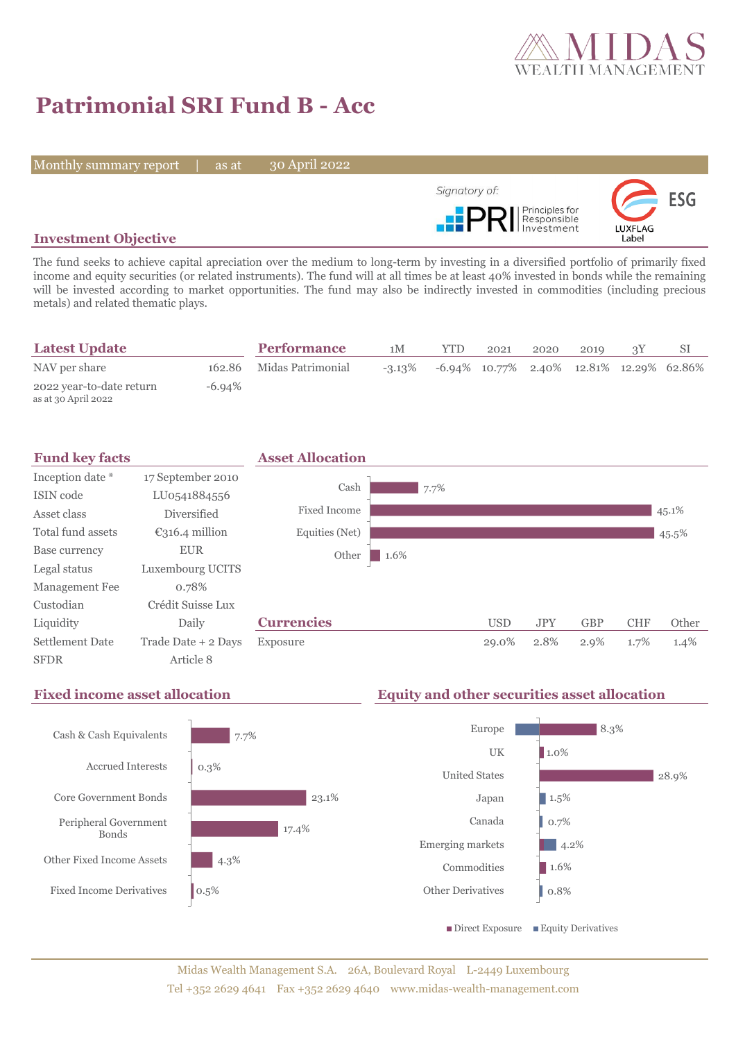

28.9%

# **Patrimonial SRI Fund B - Acc**

Monthly summary report | as at

30 April 2022



## **Investment Objective**

The fund seeks to achieve capital apreciation over the medium to long-term by investing in a diversified portfolio of primarily fixed income and equity securities (or related instruments). The fund will at all times be at least 40% invested in bonds while the remaining will be invested according to market opportunities. The fund may also be indirectly invested in commodities (including precious metals) and related thematic plays.

| <b>Latest Update</b>                            |        | <b>Performance</b>       | 1M        | <b>YTD</b>                                  | 2021 | 2020 | 2019 |  |
|-------------------------------------------------|--------|--------------------------|-----------|---------------------------------------------|------|------|------|--|
| NAV per share                                   |        | 162.86 Midas Patrimonial | $-3.13\%$ | $-6.94\%$ 10.77% 2.40% 12.81% 12.29% 62.86% |      |      |      |  |
| 2022 year-to-date return<br>as at 30 April 2022 | -6.94% |                          |           |                                             |      |      |      |  |



## **Fixed income asset allocation Equity and other securities asset allocation**

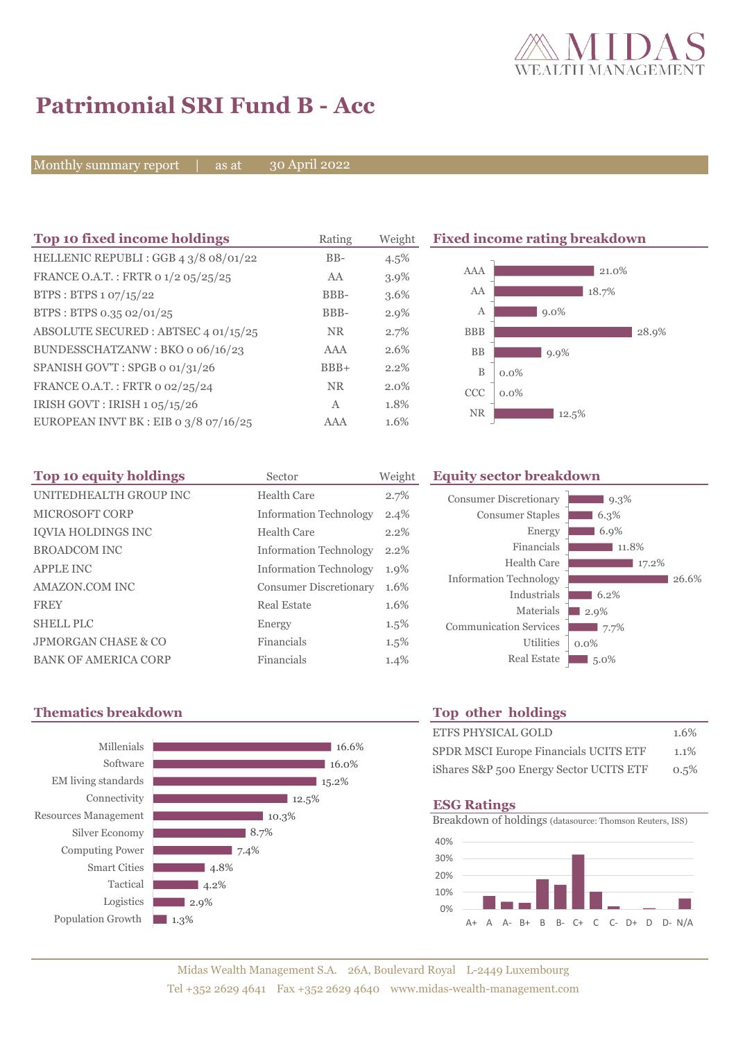

# **Patrimonial SRI Fund B - Acc**

Monthly summary report | as at

30 April 2022

| Top 10 fixed income holdings            | Rating    | Weight  |            | <b>Fixed income rating breakdown</b> |
|-----------------------------------------|-----------|---------|------------|--------------------------------------|
| HELLENIC REPUBLI: GGB 4 3/8 08/01/22    | $BB-$     | $4.5\%$ |            |                                      |
| FRANCE O.A.T.: FRTR 0 1/2 05/25/25      | AA        | 3.9%    | AAA        | 21.0%                                |
| BTPS: BTPS 1 07/15/22                   | BBB-      | 3.6%    | AA         | 18.7%                                |
| BTPS: BTPS 0.35 02/01/25                | BBB-      | $2.9\%$ | А          | $9.0\%$                              |
| ABSOLUTE SECURED : ABTSEC 4 01/15/25    | <b>NR</b> | 2.7%    | <b>BBB</b> | 28.9%                                |
| BUNDESSCHATZANW: BKO o 06/16/23         | AAA       | 2.6%    | <b>BB</b>  | $9.9\%$                              |
| SPANISH GOV'T: SPGB o 01/31/26          | $BBB+$    | 2.2%    | B          | $0.0\%$                              |
| FRANCE O.A.T.: FRTR 0 02/25/24          | <b>NR</b> | $2.0\%$ | <b>CCC</b> | $0.0\%$                              |
| IRISH GOVT : IRISH $1.05/15/26$         | A         | 1.8%    | <b>NR</b>  |                                      |
| EUROPEAN INVT BK : EIB o $3/8$ o7/16/25 | AAA       | 1.6%    |            | 12.5%                                |

| Top 10 equity holdings         | Sector                        | Weight  | Equ             |
|--------------------------------|-------------------------------|---------|-----------------|
| UNITEDHEALTH GROUP INC         | Health Care                   | 2.7%    | Co              |
| <b>MICROSOFT CORP</b>          | <b>Information Technology</b> | 2.4%    |                 |
| <b>IOVIA HOLDINGS INC</b>      | Health Care                   | 2.2%    |                 |
| <b>BROADCOM INC</b>            | <b>Information Technology</b> | $2.2\%$ |                 |
| <b>APPLE INC</b>               | <b>Information Technology</b> | 1.9%    |                 |
| AMAZON.COM INC                 | <b>Consumer Discretionary</b> | 1.6%    | In:             |
| <b>FREY</b>                    | Real Estate                   | 1.6%    |                 |
| <b>SHELL PLC</b>               | Energy                        | $1.5\%$ | Co <sub>i</sub> |
| <b>JPMORGAN CHASE &amp; CO</b> | Financials                    | $1.5\%$ |                 |
| <b>BANK OF AMERICA CORP</b>    | Financials                    | 1.4%    |                 |

## **Top 10 equity holdings** Sector Weight **Equity sector breakdown**

| 9.3%    |
|---------|
| 6.3%    |
| 6.9%    |
| 11.8%   |
| 17.2%   |
| 26.6%   |
| 6.2%    |
| 2.9%    |
| 7.7%    |
| $0.0\%$ |
| $5.0\%$ |
|         |

## **Thematics breakdown Top other holdings**



| <b>ETFS PHYSICAL GOLD</b>               | 1.6% |
|-----------------------------------------|------|
| SPDR MSCI Europe Financials UCITS ETF   | 1.1% |
| iShares S&P 500 Energy Sector UCITS ETF | 0.5% |

### **ESG Ratings**

Breakdown of holdings (datasource: Thomson Reuters, ISS)